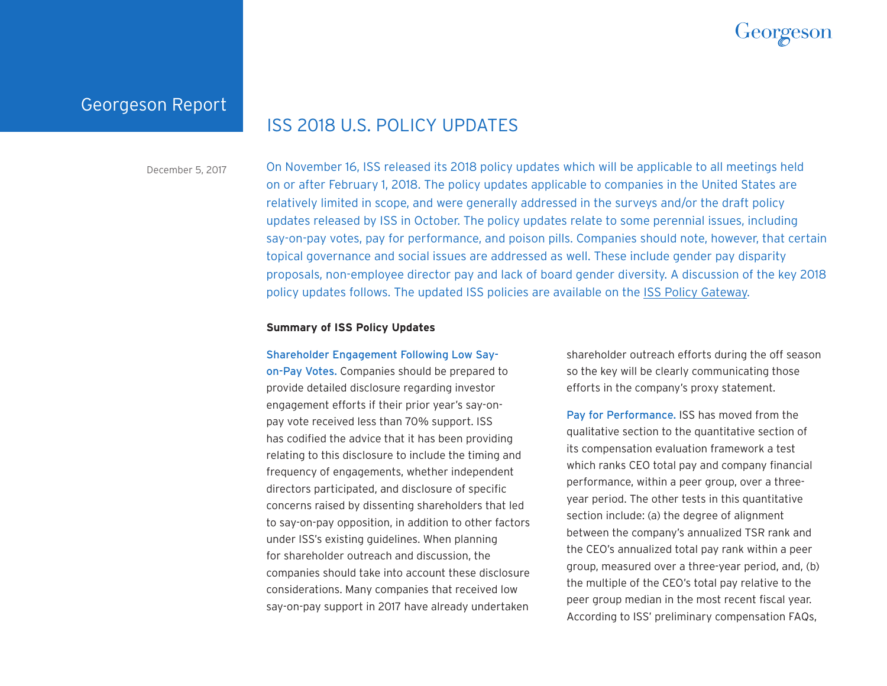

## Georgeson Report

# ISS 2018 U.S. POLICY UPDATES

December 5, 2017 On November 16, ISS released its 2018 policy updates which will be applicable to all meetings held on or after February 1, 2018. The policy updates applicable to companies in the United States are relatively limited in scope, and were generally addressed in the surveys and/or the draft policy updates released by ISS in October. The policy updates relate to some perennial issues, including say-on-pay votes, pay for performance, and poison pills. Companies should note, however, that certain topical governance and social issues are addressed as well. These include gender pay disparity proposals, non-employee director pay and lack of board gender diversity. A discussion of the key 2018 policy updates follows. The updated ISS policies are available on the [ISS Policy Gateway.](https://www.issgovernance.com/file/policy/2018-Americas-Policy-Updates.pdf)

### **Summary of ISS Policy Updates**

Shareholder Engagement Following Low Sayon-Pay Votes. Companies should be prepared to provide detailed disclosure regarding investor engagement efforts if their prior year's say-onpay vote received less than 70% support. ISS has codified the advice that it has been providing relating to this disclosure to include the timing and frequency of engagements, whether independent directors participated, and disclosure of specific concerns raised by dissenting shareholders that led to say-on-pay opposition, in addition to other factors under ISS's existing guidelines. When planning for shareholder outreach and discussion, the companies should take into account these disclosure considerations. Many companies that received low say-on-pay support in 2017 have already undertaken

shareholder outreach efforts during the off season so the key will be clearly communicating those efforts in the company's proxy statement.

Pay for Performance. ISS has moved from the qualitative section to the quantitative section of its compensation evaluation framework a test which ranks CEO total pay and company financial performance, within a peer group, over a threeyear period. The other tests in this quantitative section include: (a) the degree of alignment between the company's annualized TSR rank and the CEO's annualized total pay rank within a peer group, measured over a three-year period, and, (b) the multiple of the CEO's total pay relative to the peer group median in the most recent fiscal year. According to ISS' preliminary compensation FAQs,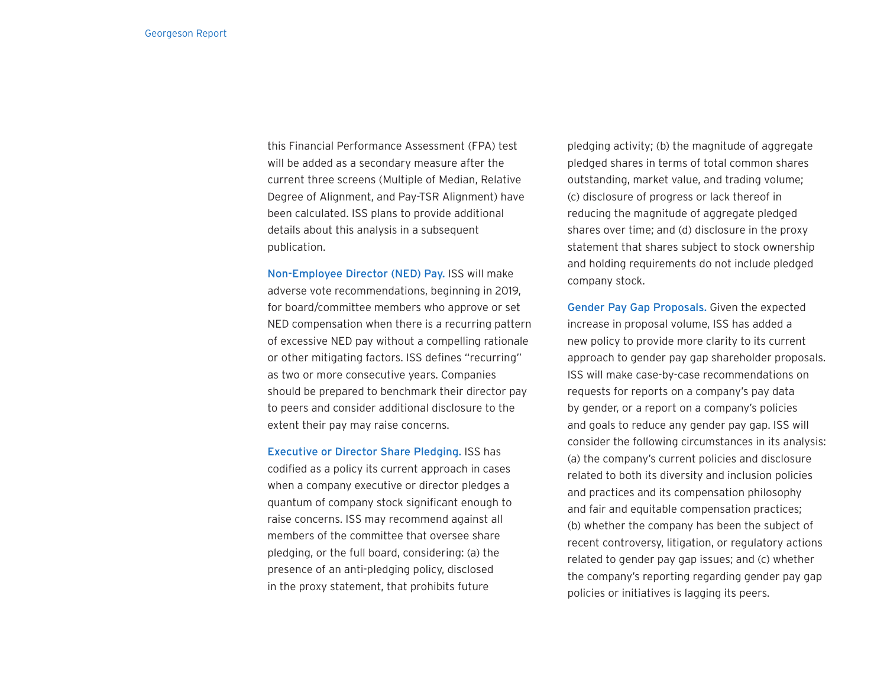this Financial Performance Assessment (FPA) test will be added as a secondary measure after the current three screens (Multiple of Median, Relative Degree of Alignment, and Pay-TSR Alignment) have been calculated. ISS plans to provide additional details about this analysis in a subsequent publication.

Non-Employee Director (NED) Pay. ISS will make adverse vote recommendations, beginning in 2019, for board/committee members who approve or set NED compensation when there is a recurring pattern of excessive NED pay without a compelling rationale or other mitigating factors. ISS defines "recurring" as two or more consecutive years. Companies should be prepared to benchmark their director pay to peers and consider additional disclosure to the extent their pay may raise concerns.

Executive or Director Share Pledging. ISS has codified as a policy its current approach in cases when a company executive or director pledges a quantum of company stock significant enough to raise concerns. ISS may recommend against all members of the committee that oversee share pledging, or the full board, considering: (a) the presence of an anti-pledging policy, disclosed in the proxy statement, that prohibits future

pledging activity; (b) the magnitude of aggregate pledged shares in terms of total common shares outstanding, market value, and trading volume; (c) disclosure of progress or lack thereof in reducing the magnitude of aggregate pledged shares over time; and (d) disclosure in the proxy statement that shares subject to stock ownership and holding requirements do not include pledged company stock.

Gender Pay Gap Proposals. Given the expected increase in proposal volume, ISS has added a new policy to provide more clarity to its current approach to gender pay gap shareholder proposals. ISS will make case-by-case recommendations on requests for reports on a company's pay data by gender, or a report on a company's policies and goals to reduce any gender pay gap. ISS will consider the following circumstances in its analysis: (a) the company's current policies and disclosure related to both its diversity and inclusion policies and practices and its compensation philosophy and fair and equitable compensation practices; (b) whether the company has been the subject of recent controversy, litigation, or regulatory actions related to gender pay gap issues; and (c) whether the company's reporting regarding gender pay gap policies or initiatives is lagging its peers.